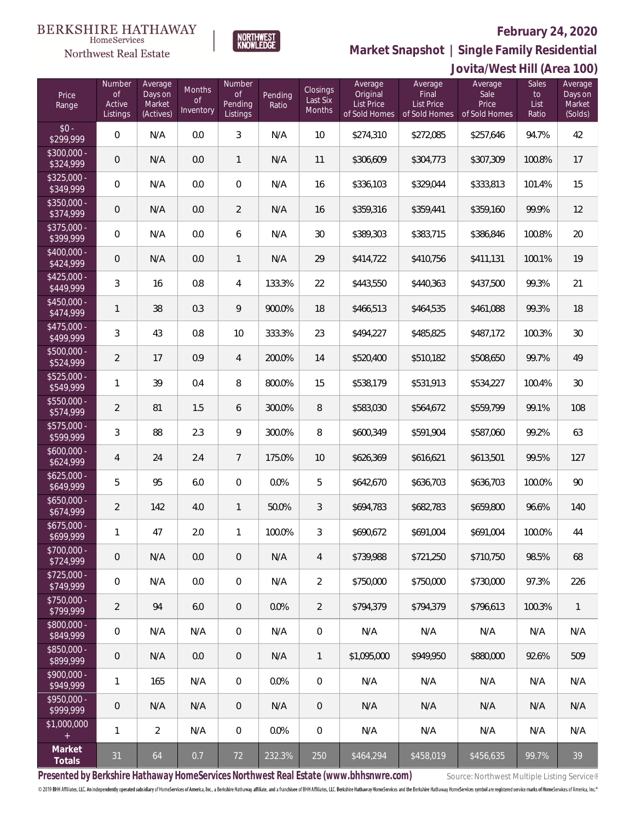# **February 24, 2020**



**Market Snapshot | Single Family Residential**

### **BERKSHIRE HATHAWAY**  $\label{lem:sevices} \textsc{Home} \textsc{Service} \textsc{s}$ Northwest Real Estate

|                           | Jovita/West Hill (Area 100)               |                                           |                                      |                                            |                  |                                |                                                           |                                                        |                                           |                                     |                                         |
|---------------------------|-------------------------------------------|-------------------------------------------|--------------------------------------|--------------------------------------------|------------------|--------------------------------|-----------------------------------------------------------|--------------------------------------------------------|-------------------------------------------|-------------------------------------|-----------------------------------------|
| Price<br>Range            | Number<br><b>of</b><br>Active<br>Listings | Average<br>Days on<br>Market<br>(Actives) | Months<br>$\mathsf{of}$<br>Inventory | Number<br><b>of</b><br>Pending<br>Listings | Pending<br>Ratio | Closings<br>Last Six<br>Months | Average<br>Original<br><b>List Price</b><br>of Sold Homes | Average<br>Final<br><b>List Price</b><br>of Sold Homes | Average<br>Sale<br>Price<br>of Sold Homes | <b>Sales</b><br>to<br>List<br>Ratio | Average<br>Days on<br>Market<br>(Solds) |
| $$0 -$<br>\$299,999       | $\overline{0}$                            | N/A                                       | 0.0                                  | $\mathfrak{Z}$                             | N/A              | 10                             | \$274,310                                                 | \$272,085                                              | \$257,646                                 | 94.7%                               | 42                                      |
| $$300,000 -$<br>\$324,999 | $\mathsf{O}\xspace$                       | N/A                                       | 0.0                                  | $\mathbf{1}$                               | N/A              | 11                             | \$306,609                                                 | \$304,773                                              | \$307,309                                 | 100.8%                              | 17                                      |
| $$325,000 -$<br>\$349,999 | $\overline{0}$                            | N/A                                       | 0.0                                  | $\mathbf 0$                                | N/A              | 16                             | \$336,103                                                 | \$329,044                                              | \$333,813                                 | 101.4%                              | 15                                      |
| $$350,000 -$<br>\$374,999 | $\mathbf 0$                               | N/A                                       | 0.0                                  | $\overline{2}$                             | N/A              | 16                             | \$359,316                                                 | \$359,441                                              | \$359,160                                 | 99.9%                               | 12                                      |
| $$375,000 -$<br>\$399,999 | $\overline{0}$                            | N/A                                       | 0.0                                  | 6                                          | N/A              | 30                             | \$389,303                                                 | \$383,715                                              | \$386,846                                 | 100.8%                              | 20                                      |
| $$400,000 -$<br>\$424,999 | $\mathsf{O}\xspace$                       | N/A                                       | 0.0                                  | $\mathbf{1}$                               | N/A              | 29                             | \$414,722                                                 | \$410,756                                              | \$411,131                                 | 100.1%                              | 19                                      |
| $$425,000 -$<br>\$449,999 | 3                                         | 16                                        | 0.8                                  | 4                                          | 133.3%           | 22                             | \$443,550                                                 | \$440,363                                              | \$437,500                                 | 99.3%                               | 21                                      |
| $$450,000 -$<br>\$474,999 | 1                                         | 38                                        | 0.3                                  | 9                                          | 900.0%           | 18                             | \$466,513                                                 | \$464,535                                              | \$461,088                                 | 99.3%                               | 18                                      |
| $$475,000 -$<br>\$499,999 | $\sqrt{3}$                                | 43                                        | 0.8                                  | 10                                         | 333.3%           | 23                             | \$494,227                                                 | \$485,825                                              | \$487,172                                 | 100.3%                              | 30                                      |
| $$500,000 -$<br>\$524,999 | $\overline{2}$                            | 17                                        | 0.9                                  | $\overline{4}$                             | 200.0%           | 14                             | \$520,400                                                 | \$510,182                                              | \$508,650                                 | 99.7%                               | 49                                      |
| $$525,000 -$<br>\$549,999 | 1                                         | 39                                        | 0.4                                  | 8                                          | 800.0%           | 15                             | \$538,179                                                 | \$531,913                                              | \$534,227                                 | 100.4%                              | $30\,$                                  |
| $$550,000 -$<br>\$574,999 | $\overline{2}$                            | 81                                        | 1.5                                  | 6                                          | 300.0%           | $\, 8$                         | \$583,030                                                 | \$564,672                                              | \$559,799                                 | 99.1%                               | 108                                     |
| \$575,000 -<br>\$599,999  | 3                                         | 88                                        | 2.3                                  | 9                                          | 300.0%           | 8                              | \$600,349                                                 | \$591,904                                              | \$587,060                                 | 99.2%                               | 63                                      |
| $$600,000 -$<br>\$624,999 | 4                                         | 24                                        | 2.4                                  | $\overline{7}$                             | 175.0%           | 10                             | \$626,369                                                 | \$616,621                                              | \$613,501                                 | 99.5%                               | 127                                     |
| $$625,000 -$<br>\$649,999 | 5                                         | 95                                        | 6.0                                  | $\mathbf 0$                                | 0.0%             | 5                              | \$642,670                                                 | \$636,703                                              | \$636,703                                 | 100.0%                              | 90                                      |
| $$650,000 -$<br>\$674,999 | 2                                         | 142                                       | 4.0                                  | $\mathbf{1}$                               | 50.0%            | 3                              | \$694,783                                                 | \$682,783                                              | \$659,800                                 | 96.6%                               | 140                                     |
| $$675.000 -$<br>\$699,999 | 1                                         | 47                                        | 2.0                                  | $\mathbf{1}$                               | 100.0%           | 3                              | \$690,672                                                 | \$691,004                                              | \$691,004                                 | 100.0%                              | 44                                      |
| $$700,000 -$<br>\$724,999 | 0                                         | N/A                                       | 0.0                                  | $\theta$                                   | N/A              | $\overline{4}$                 | \$739,988                                                 | \$721,250                                              | \$710,750                                 | 98.5%                               | 68                                      |
| $$725,000 -$<br>\$749,999 | $\mathbf 0$                               | N/A                                       | 0.0                                  | 0                                          | N/A              | $\overline{2}$                 | \$750,000                                                 | \$750,000                                              | \$730,000                                 | 97.3%                               | 226                                     |
| $$750,000 -$<br>\$799,999 | 2                                         | 94                                        | 6.0                                  | $\overline{0}$                             | 0.0%             | $\overline{2}$                 | \$794,379                                                 | \$794,379                                              | \$796,613                                 | 100.3%                              | 1                                       |
| \$800,000 -<br>\$849,999  | $\mathbf 0$                               | N/A                                       | N/A                                  | $\boldsymbol{0}$                           | N/A              | $\mathbf 0$                    | N/A                                                       | N/A                                                    | N/A                                       | N/A                                 | N/A                                     |
| \$850,000 -<br>\$899,999  | $\overline{0}$                            | N/A                                       | 0.0                                  | $\overline{0}$                             | N/A              | $\mathbf{1}$                   | \$1,095,000                                               | \$949.950                                              | \$880,000                                 | 92.6%                               | 509                                     |
| \$900,000 -<br>\$949,999  | 1                                         | 165                                       | N/A                                  | 0                                          | 0.0%             | $\mathbf 0$                    | N/A                                                       | N/A                                                    | N/A                                       | N/A                                 | N/A                                     |
| \$950,000 -<br>\$999,999  | $\overline{0}$                            | N/A                                       | N/A                                  | $\mathbf 0$                                | N/A              | $\theta$                       | N/A                                                       | N/A                                                    | N/A                                       | N/A                                 | N/A                                     |
| \$1,000,000               | 1                                         | 2                                         | N/A                                  | 0                                          | 0.0%             | $\mathbf 0$                    | N/A                                                       | N/A                                                    | N/A                                       | N/A                                 | N/A                                     |
| Market<br>Totals          | 31                                        | 64                                        | 0.7                                  | 72                                         | 232.3%           | 250                            | \$464,294                                                 | \$458,019                                              | \$456,635                                 | 99.7%                               | 39                                      |

Presented by Berkshire Hathaway HomeServices Northwest Real Estate (www.bhhsnwre.com) Source: Northwest Multiple Listing Service®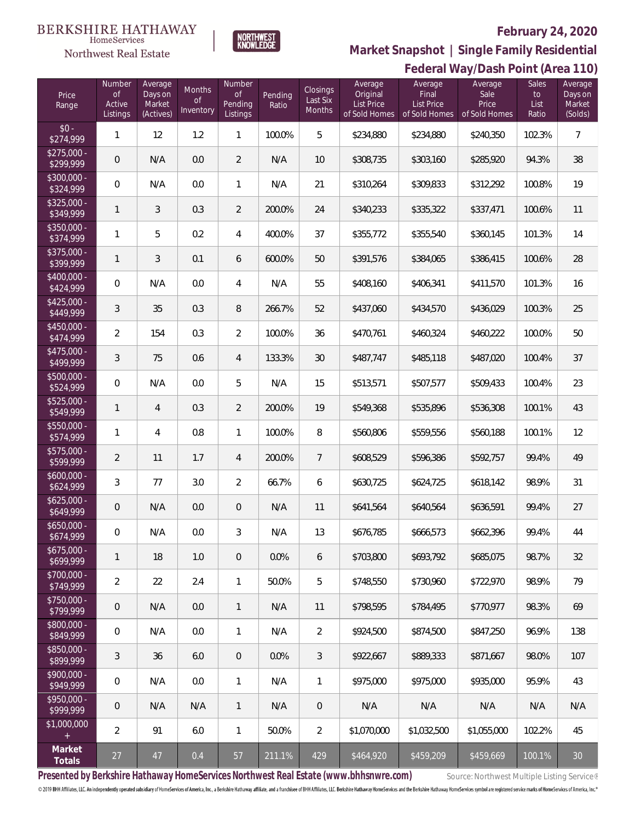#### **BERKSHIRE HATHAWAY**  $\label{lem:sevices} \textsc{Home} \textsc{Service} \textsc{s}$

# Northwest Real Estate



# **February 24, 2020**

**Federal Way/Dash Point (Area 110) Market Snapshot | Single Family Residential**

| Price<br>Range            | Number<br><b>of</b><br>Active<br>Listings | Average<br>Days on<br>Market<br>(Actives) | Months<br><b>of</b><br>Inventory | Number<br><b>of</b><br>Pending<br>Listings | Pending<br>Ratio | Closings<br>Last Six<br>Months | Average<br>Original<br><b>List Price</b><br>of Sold Homes | Average<br>Final<br><b>List Price</b><br>of Sold Homes | Average<br>Sale<br>Price<br>of Sold Homes | Sales<br>to<br>List<br>Ratio | Average<br>Days on<br>Market<br>(Solds) |
|---------------------------|-------------------------------------------|-------------------------------------------|----------------------------------|--------------------------------------------|------------------|--------------------------------|-----------------------------------------------------------|--------------------------------------------------------|-------------------------------------------|------------------------------|-----------------------------------------|
| $$0 -$<br>\$274,999       | $\mathbf{1}$                              | 12                                        | 1.2                              | $\mathbf{1}$                               | 100.0%           | 5                              | \$234,880                                                 | \$234,880                                              | \$240,350                                 | 102.3%                       | $\overline{7}$                          |
| $$275,000 -$<br>\$299,999 | $\mathsf{O}\xspace$                       | N/A                                       | 0.0                              | $\overline{2}$                             | N/A              | 10                             | \$308,735                                                 | \$303,160                                              | \$285,920                                 | 94.3%                        | 38                                      |
| $$300,000 -$<br>\$324,999 | 0                                         | N/A                                       | 0.0                              | $\mathbf{1}$                               | N/A              | 21                             | \$310,264                                                 | \$309,833                                              | \$312,292                                 | 100.8%                       | 19                                      |
| \$325,000 -<br>\$349,999  | 1                                         | 3                                         | 0.3                              | $\overline{2}$                             | 200.0%           | 24                             | \$340,233                                                 | \$335,322                                              | \$337,471                                 | 100.6%                       | 11                                      |
| $$350,000 -$<br>\$374,999 | 1                                         | 5                                         | 0.2                              | $\overline{4}$                             | 400.0%           | 37                             | \$355,772                                                 | \$355,540                                              | \$360,145                                 | 101.3%                       | 14                                      |
| $$375,000 -$<br>\$399,999 | 1                                         | 3                                         | 0.1                              | 6                                          | 600.0%           | 50                             | \$391,576                                                 | \$384,065                                              | \$386,415                                 | 100.6%                       | 28                                      |
| $$400,000 -$<br>\$424,999 | 0                                         | N/A                                       | 0.0                              | 4                                          | N/A              | 55                             | \$408,160                                                 | \$406,341                                              | \$411,570                                 | 101.3%                       | 16                                      |
| $$425,000 -$<br>\$449,999 | 3                                         | 35                                        | 0.3                              | $\, 8$                                     | 266.7%           | 52                             | \$437,060                                                 | \$434,570                                              | \$436,029                                 | 100.3%                       | 25                                      |
| $$450,000 -$<br>\$474,999 | 2                                         | 154                                       | 0.3                              | $\overline{2}$                             | 100.0%           | 36                             | \$470,761                                                 | \$460,324                                              | \$460,222                                 | 100.0%                       | 50                                      |
| $$475,000 -$<br>\$499,999 | 3                                         | 75                                        | 0.6                              | $\overline{4}$                             | 133.3%           | 30                             | \$487,747                                                 | \$485,118                                              | \$487,020                                 | 100.4%                       | 37                                      |
| $$500,000 -$<br>\$524,999 | 0                                         | N/A                                       | 0.0                              | 5                                          | N/A              | 15                             | \$513,571                                                 | \$507,577                                              | \$509,433                                 | 100.4%                       | 23                                      |
| $$525,000 -$<br>\$549,999 | 1                                         | 4                                         | 0.3                              | $\overline{2}$                             | 200.0%           | 19                             | \$549,368                                                 | \$535,896                                              | \$536,308                                 | 100.1%                       | 43                                      |
| $$550,000 -$<br>\$574,999 | 1                                         | 4                                         | 0.8                              | 1                                          | 100.0%           | 8                              | \$560,806                                                 | \$559,556                                              | \$560,188                                 | 100.1%                       | 12                                      |
| $$575,000 -$<br>\$599,999 | 2                                         | 11                                        | 1.7                              | $\overline{4}$                             | 200.0%           | $\overline{7}$                 | \$608,529                                                 | \$596,386                                              | \$592,757                                 | 99.4%                        | 49                                      |
| $$600,000 -$<br>\$624,999 | 3                                         | 77                                        | 3.0                              | $\overline{2}$                             | 66.7%            | 6                              | \$630,725                                                 | \$624,725                                              | \$618,142                                 | 98.9%                        | 31                                      |
| $$625,000 -$<br>\$649,999 | $\mathsf{O}\xspace$                       | N/A                                       | 0.0                              | $\overline{0}$                             | N/A              | 11                             | \$641,564                                                 | \$640,564                                              | \$636,591                                 | 99.4%                        | 27                                      |
| $$650,000 -$<br>\$674,999 | 0                                         | N/A                                       | 0.0                              | 3                                          | N/A              | 13                             | \$676,785                                                 | \$666,573                                              | \$662,396                                 | 99.4%                        | $44$                                    |
| $$675,000 -$<br>\$699,999 | $\mathbf{1}$                              | 18                                        | 1.0                              | $\overline{0}$                             | 0.0%             | 6                              | \$703,800                                                 | \$693,792                                              | \$685,075                                 | 98.7%                        | 32                                      |
| $$700.000 -$<br>\$749,999 | 2                                         | 22                                        | 2.4                              | $\mathbf{1}$                               | 50.0%            | 5                              | \$748,550                                                 | \$730,960                                              | \$722,970                                 | 98.9%                        | 79                                      |
| $$750,000 -$<br>\$799,999 | 0                                         | N/A                                       | 0.0                              | $\mathbf{1}$                               | N/A              | 11                             | \$798.595                                                 | \$784,495                                              | \$770.977                                 | 98.3%                        | 69                                      |
| $$800,000 -$<br>\$849,999 | 0                                         | N/A                                       | 0.0                              | $\mathbf{1}$                               | N/A              | 2                              | \$924,500                                                 | \$874,500                                              | \$847.250                                 | 96.9%                        | 138                                     |
| \$850,000 -<br>\$899,999  | 3                                         | 36                                        | 6.0                              | $\overline{0}$                             | $0.0\%$          | 3                              | \$922,667                                                 | \$889,333                                              | \$871.667                                 | 98.0%                        | 107                                     |
| $$900.000 -$<br>\$949,999 | 0                                         | N/A                                       | 0.0                              | $\mathbf{1}$                               | N/A              | 1                              | \$975,000                                                 | \$975,000                                              | \$935,000                                 | 95.9%                        | 43                                      |
| $$950.000 -$<br>\$999,999 | $\mathbf 0$                               | N/A                                       | N/A                              | $\mathbf{1}$                               | N/A              | $\boldsymbol{0}$               | N/A                                                       | N/A                                                    | N/A                                       | N/A                          | N/A                                     |
| \$1,000,000<br>$^{+}$     | 2                                         | 91                                        | 6.0                              | $\mathbf{1}$                               | 50.0%            | 2                              | \$1,070,000                                               | \$1,032,500                                            | \$1,055,000                               | 102.2%                       | 45                                      |
| Market<br>Totals          | 27                                        | 47                                        | 0.4                              | 57                                         | 211.1%           | 429                            | \$464,920                                                 | \$459,209                                              | \$459,669                                 | 100.1%                       | $30\,$                                  |

Presented by Berkshire Hathaway HomeServices Northwest Real Estate (www.bhhsnwre.com) Source: Northwest Multiple Listing Service®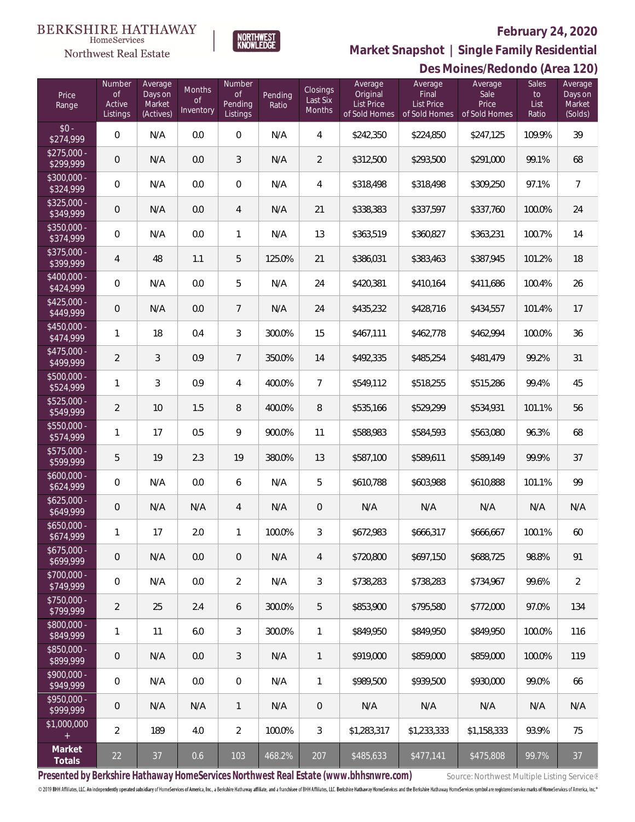## **February 24, 2020**



NORTHWEST<br>KNOWLFDGE

### Northwest Real Estate

**Market Snapshot | Single Family Residential**

|                           | Des Moines/Redondo (Area 120)      |                                           |                                  |                                            |                  |                                |                                                           |                                                        |                                           |                              |                                         |
|---------------------------|------------------------------------|-------------------------------------------|----------------------------------|--------------------------------------------|------------------|--------------------------------|-----------------------------------------------------------|--------------------------------------------------------|-------------------------------------------|------------------------------|-----------------------------------------|
| Price<br>Range            | Number<br>0f<br>Active<br>Listings | Average<br>Days on<br>Market<br>(Actives) | Months<br><b>of</b><br>Inventory | Number<br><b>of</b><br>Pending<br>Listings | Pending<br>Ratio | Closings<br>Last Six<br>Months | Average<br>Original<br><b>List Price</b><br>of Sold Homes | Average<br>Final<br><b>List Price</b><br>of Sold Homes | Average<br>Sale<br>Price<br>of Sold Homes | Sales<br>to<br>List<br>Ratio | Average<br>Days on<br>Market<br>(Solds) |
| $$0 -$<br>\$274,999       | 0                                  | N/A                                       | 0.0                              | $\mathbf 0$                                | N/A              | 4                              | \$242,350                                                 | \$224,850                                              | \$247,125                                 | 109.9%                       | 39                                      |
| $$275,000 -$<br>\$299,999 | $\mathbf 0$                        | N/A                                       | 0.0                              | 3                                          | N/A              | $\overline{2}$                 | \$312,500                                                 | \$293,500                                              | \$291,000                                 | 99.1%                        | 68                                      |
| \$300,000 -<br>\$324,999  | 0                                  | N/A                                       | 0.0                              | $\overline{0}$                             | N/A              | 4                              | \$318,498                                                 | \$318,498                                              | \$309,250                                 | 97.1%                        | $\overline{7}$                          |
| $$325,000 -$<br>\$349,999 | $\boldsymbol{0}$                   | N/A                                       | 0.0                              | 4                                          | N/A              | 21                             | \$338,383                                                 | \$337,597                                              | \$337,760                                 | 100.0%                       | 24                                      |
| $$350,000 -$<br>\$374,999 | 0                                  | N/A                                       | 0.0                              | $\mathbf{1}$                               | N/A              | 13                             | \$363,519                                                 | \$360,827                                              | \$363,231                                 | 100.7%                       | 14                                      |
| $$375,000 -$<br>\$399,999 | 4                                  | 48                                        | 1.1                              | 5                                          | 125.0%           | 21                             | \$386,031                                                 | \$383,463                                              | \$387,945                                 | 101.2%                       | 18                                      |
| \$400,000 -<br>\$424,999  | $\boldsymbol{0}$                   | N/A                                       | 0.0                              | 5                                          | N/A              | 24                             | \$420,381                                                 | \$410,164                                              | \$411,686                                 | 100.4%                       | 26                                      |
| $$425,000 -$<br>\$449,999 | $\mathbf 0$                        | N/A                                       | 0.0                              | $\overline{7}$                             | N/A              | 24                             | \$435,232                                                 | \$428,716                                              | \$434,557                                 | 101.4%                       | 17                                      |
| \$450,000 -<br>\$474,999  | 1                                  | 18                                        | 0.4                              | 3                                          | 300.0%           | 15                             | \$467,111                                                 | \$462,778                                              | \$462,994                                 | 100.0%                       | 36                                      |
| $$475,000 -$<br>\$499,999 | $\overline{2}$                     | $\mathfrak{Z}$                            | 0.9                              | $\overline{7}$                             | 350.0%           | 14                             | \$492,335                                                 | \$485,254                                              | \$481,479                                 | 99.2%                        | 31                                      |
| \$500,000 -<br>\$524,999  | 1                                  | $\mathfrak{Z}$                            | 0.9                              | 4                                          | 400.0%           | $\overline{7}$                 | \$549,112                                                 | \$518,255                                              | \$515,286                                 | 99.4%                        | 45                                      |
| $$525,000 -$<br>\$549,999 | 2                                  | 10                                        | 1.5                              | 8                                          | 400.0%           | 8                              | \$535,166                                                 | \$529,299                                              | \$534,931                                 | 101.1%                       | 56                                      |
| $$550,000 -$<br>\$574,999 | 1                                  | 17                                        | 0.5                              | 9                                          | 900.0%           | 11                             | \$588,983                                                 | \$584,593                                              | \$563,080                                 | 96.3%                        | 68                                      |
| $$575,000 -$<br>\$599,999 | 5                                  | 19                                        | 2.3                              | 19                                         | 380.0%           | 13                             | \$587,100                                                 | \$589,611                                              | \$589,149                                 | 99.9%                        | 37                                      |
| $$600,000 -$<br>\$624,999 | 0                                  | N/A                                       | 0.0                              | 6                                          | N/A              | 5                              | \$610,788                                                 | \$603,988                                              | \$610,888                                 | 101.1%                       | 99                                      |
| $$625,000 -$<br>\$649,999 | $\mathbf 0$                        | N/A                                       | N/A                              | $\overline{4}$                             | N/A              | 0                              | N/A                                                       | N/A                                                    | N/A                                       | N/A                          | N/A                                     |
| $$650,000 -$<br>\$674,999 | 1                                  | 17                                        | 2.0                              | 1                                          | 100.0%           | 3                              | \$672,983                                                 | \$666,317                                              | \$666,667                                 | 100.1%                       | 60                                      |
| $$675,000 -$<br>\$699,999 | 0                                  | N/A                                       | 0.0                              | $\overline{0}$                             | N/A              | $\overline{4}$                 | \$720,800                                                 | \$697,150                                              | \$688,725                                 | 98.8%                        | 91                                      |
| $$700,000 -$<br>\$749,999 | $\mathbb O$                        | N/A                                       | 0.0                              | $\overline{2}$                             | N/A              | 3                              | \$738,283                                                 | \$738,283                                              | \$734,967                                 | 99.6%                        | 2                                       |
| $$750,000 -$<br>\$799,999 | 2                                  | 25                                        | 2.4                              | 6                                          | 300.0%           | 5                              | \$853,900                                                 | \$795,580                                              | \$772,000                                 | 97.0%                        | 134                                     |
| $$800,000 -$<br>\$849,999 | 1                                  | 11                                        | 6.0                              | 3                                          | 300.0%           | 1                              | \$849,950                                                 | \$849,950                                              | \$849,950                                 | 100.0%                       | 116                                     |
| $$850,000 -$<br>\$899,999 | 0                                  | N/A                                       | 0.0                              | 3                                          | N/A              | 1                              | \$919,000                                                 | \$859,000                                              | \$859,000                                 | 100.0%                       | 119                                     |
| $$900,000 -$<br>\$949,999 | 0                                  | N/A                                       | 0.0                              | $\overline{0}$                             | N/A              | 1                              | \$989,500                                                 | \$939,500                                              | \$930,000                                 | 99.0%                        | 66                                      |
| $$950,000 -$<br>\$999,999 | 0                                  | N/A                                       | N/A                              | $\mathbf{1}$                               | N/A              | $\theta$                       | N/A                                                       | N/A                                                    | N/A                                       | N/A                          | N/A                                     |
| \$1,000,000<br>$+$        | 2                                  | 189                                       | 4.0                              | 2                                          | 100.0%           | 3                              | \$1,283,317                                               | \$1,233,333                                            | \$1,158,333                               | 93.9%                        | 75                                      |
| Market<br>Totals          | 22                                 | 37                                        | 0.6                              | 103                                        | 468.2%           | 207                            | \$485,633                                                 | \$477,141                                              | \$475,808                                 | 99.7%                        | 37                                      |

Presented by Berkshire Hathaway HomeServices Northwest Real Estate (www.bhhsnwre.com) Source: Northwest Multiple Listing Service®